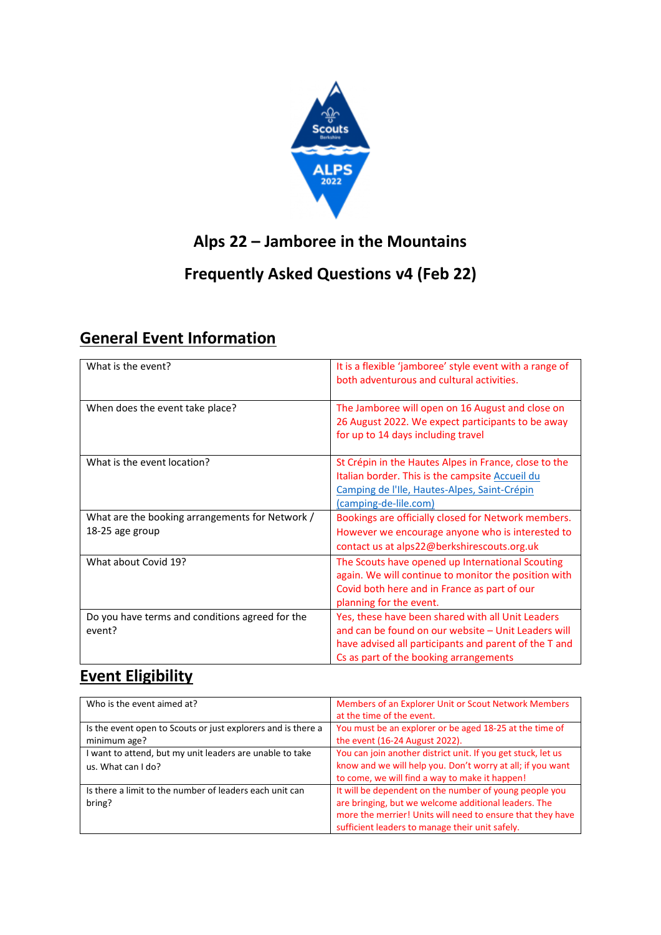

## **Alps 22 – Jamboree in the Mountains**

#### **Frequently Asked Questions v4 (Feb 22)**

## **General Event Information**

| What is the event?                                        | It is a flexible 'jamboree' style event with a range of<br>both adventurous and cultural activities.                                                                                                        |
|-----------------------------------------------------------|-------------------------------------------------------------------------------------------------------------------------------------------------------------------------------------------------------------|
| When does the event take place?                           | The Jamboree will open on 16 August and close on<br>26 August 2022. We expect participants to be away<br>for up to 14 days including travel                                                                 |
| What is the event location?                               | St Crépin in the Hautes Alpes in France, close to the<br>Italian border. This is the campsite Accueil du<br>Camping de l'Ile, Hautes-Alpes, Saint-Crépin<br>(camping-de-lile.com)                           |
| What are the booking arrangements for Network /           | Bookings are officially closed for Network members.                                                                                                                                                         |
| 18-25 age group                                           | However we encourage anyone who is interested to                                                                                                                                                            |
|                                                           | contact us at alps22@berkshirescouts.org.uk                                                                                                                                                                 |
| What about Covid 19?                                      | The Scouts have opened up International Scouting<br>again. We will continue to monitor the position with<br>Covid both here and in France as part of our<br>planning for the event.                         |
| Do you have terms and conditions agreed for the<br>event? | Yes, these have been shared with all Unit Leaders<br>and can be found on our website - Unit Leaders will<br>have advised all participants and parent of the T and<br>Cs as part of the booking arrangements |

#### **Event Eligibility**

| Who is the event aimed at?                                   | Members of an Explorer Unit or Scout Network Members         |
|--------------------------------------------------------------|--------------------------------------------------------------|
|                                                              | at the time of the event.                                    |
| Is the event open to Scouts or just explorers and is there a | You must be an explorer or be aged 18-25 at the time of      |
| minimum age?                                                 | the event (16-24 August 2022).                               |
| I want to attend, but my unit leaders are unable to take     | You can join another district unit. If you get stuck, let us |
| us. What can I do?                                           | know and we will help you. Don't worry at all; if you want   |
|                                                              | to come, we will find a way to make it happen!               |
| Is there a limit to the number of leaders each unit can      | It will be dependent on the number of young people you       |
| bring?                                                       | are bringing, but we welcome additional leaders. The         |
|                                                              | more the merrier! Units will need to ensure that they have   |
|                                                              | sufficient leaders to manage their unit safely.              |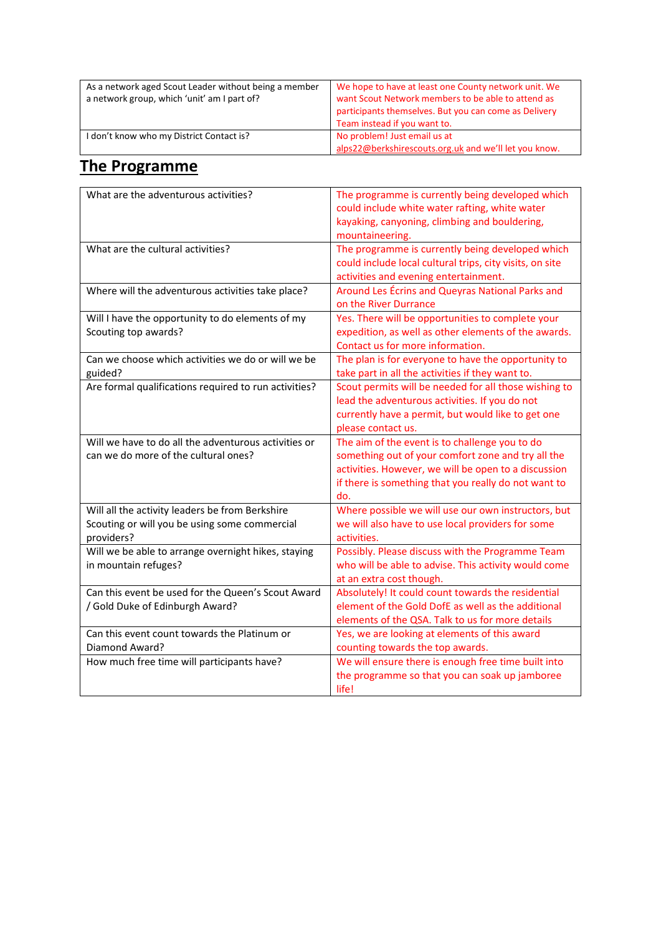| As a network aged Scout Leader without being a member<br>a network group, which 'unit' am I part of? | We hope to have at least one County network unit. We<br>want Scout Network members to be able to attend as<br>participants themselves. But you can come as Delivery<br>Team instead if you want to. |
|------------------------------------------------------------------------------------------------------|-----------------------------------------------------------------------------------------------------------------------------------------------------------------------------------------------------|
| I don't know who my District Contact is?                                                             | No problem! Just email us at<br>alps22@berkshirescouts.org.uk and we'll let you know.                                                                                                               |

### **The Programme**

| What are the adventurous activities?                                                                           | The programme is currently being developed which<br>could include white water rafting, white water<br>kayaking, canyoning, climbing and bouldering,                                                                         |
|----------------------------------------------------------------------------------------------------------------|-----------------------------------------------------------------------------------------------------------------------------------------------------------------------------------------------------------------------------|
|                                                                                                                | mountaineering.                                                                                                                                                                                                             |
| What are the cultural activities?                                                                              | The programme is currently being developed which<br>could include local cultural trips, city visits, on site<br>activities and evening entertainment.                                                                       |
| Where will the adventurous activities take place?                                                              | Around Les Écrins and Queyras National Parks and<br>on the River Durrance                                                                                                                                                   |
| Will I have the opportunity to do elements of my<br>Scouting top awards?                                       | Yes. There will be opportunities to complete your<br>expedition, as well as other elements of the awards.<br>Contact us for more information.                                                                               |
| Can we choose which activities we do or will we be<br>guided?                                                  | The plan is for everyone to have the opportunity to<br>take part in all the activities if they want to.                                                                                                                     |
| Are formal qualifications required to run activities?                                                          | Scout permits will be needed for all those wishing to<br>lead the adventurous activities. If you do not<br>currently have a permit, but would like to get one<br>please contact us.                                         |
| Will we have to do all the adventurous activities or<br>can we do more of the cultural ones?                   | The aim of the event is to challenge you to do<br>something out of your comfort zone and try all the<br>activities. However, we will be open to a discussion<br>if there is something that you really do not want to<br>do. |
| Will all the activity leaders be from Berkshire<br>Scouting or will you be using some commercial<br>providers? | Where possible we will use our own instructors, but<br>we will also have to use local providers for some<br>activities.                                                                                                     |
| Will we be able to arrange overnight hikes, staying<br>in mountain refuges?                                    | Possibly. Please discuss with the Programme Team<br>who will be able to advise. This activity would come<br>at an extra cost though.                                                                                        |
| Can this event be used for the Queen's Scout Award<br>/ Gold Duke of Edinburgh Award?                          | Absolutely! It could count towards the residential<br>element of the Gold DofE as well as the additional<br>elements of the QSA. Talk to us for more details                                                                |
| Can this event count towards the Platinum or<br>Diamond Award?                                                 | Yes, we are looking at elements of this award<br>counting towards the top awards.                                                                                                                                           |
| How much free time will participants have?                                                                     | We will ensure there is enough free time built into<br>the programme so that you can soak up jamboree<br>life!                                                                                                              |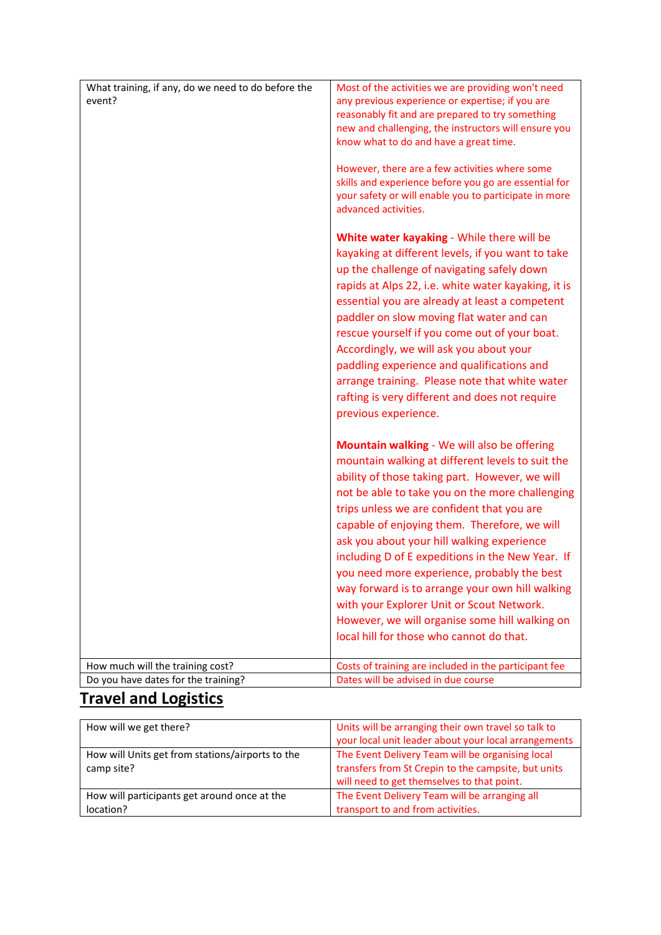| What training, if any, do we need to do before the<br>event?            | Most of the activities we are providing won't need<br>any previous experience or expertise; if you are<br>reasonably fit and are prepared to try something<br>new and challenging, the instructors will ensure you<br>know what to do and have a great time.<br>However, there are a few activities where some<br>skills and experience before you go are essential for<br>your safety or will enable you to participate in more<br>advanced activities.                                                                                                                                                                                          |
|-------------------------------------------------------------------------|---------------------------------------------------------------------------------------------------------------------------------------------------------------------------------------------------------------------------------------------------------------------------------------------------------------------------------------------------------------------------------------------------------------------------------------------------------------------------------------------------------------------------------------------------------------------------------------------------------------------------------------------------|
|                                                                         | White water kayaking - While there will be<br>kayaking at different levels, if you want to take<br>up the challenge of navigating safely down<br>rapids at Alps 22, i.e. white water kayaking, it is<br>essential you are already at least a competent<br>paddler on slow moving flat water and can<br>rescue yourself if you come out of your boat.<br>Accordingly, we will ask you about your<br>paddling experience and qualifications and<br>arrange training. Please note that white water<br>rafting is very different and does not require<br>previous experience.                                                                         |
|                                                                         | Mountain walking - We will also be offering<br>mountain walking at different levels to suit the<br>ability of those taking part. However, we will<br>not be able to take you on the more challenging<br>trips unless we are confident that you are<br>capable of enjoying them. Therefore, we will<br>ask you about your hill walking experience<br>including D of E expeditions in the New Year. If<br>you need more experience, probably the best<br>way forward is to arrange your own hill walking<br>with your Explorer Unit or Scout Network.<br>However, we will organise some hill walking on<br>local hill for those who cannot do that. |
| How much will the training cost?<br>Do you have dates for the training? | Costs of training are included in the participant fee<br>Dates will be advised in due course                                                                                                                                                                                                                                                                                                                                                                                                                                                                                                                                                      |
|                                                                         |                                                                                                                                                                                                                                                                                                                                                                                                                                                                                                                                                                                                                                                   |

# **Travel and Logistics**

| How will we get there?                           | Units will be arranging their own travel so talk to  |
|--------------------------------------------------|------------------------------------------------------|
|                                                  |                                                      |
|                                                  | your local unit leader about your local arrangements |
| How will Units get from stations/airports to the | The Event Delivery Team will be organising local     |
|                                                  |                                                      |
| camp site?                                       | transfers from St Crepin to the campsite, but units  |
|                                                  |                                                      |
|                                                  | will need to get themselves to that point.           |
| How will participants get around once at the     | The Event Delivery Team will be arranging all        |
|                                                  |                                                      |
| location?                                        | transport to and from activities.                    |
|                                                  |                                                      |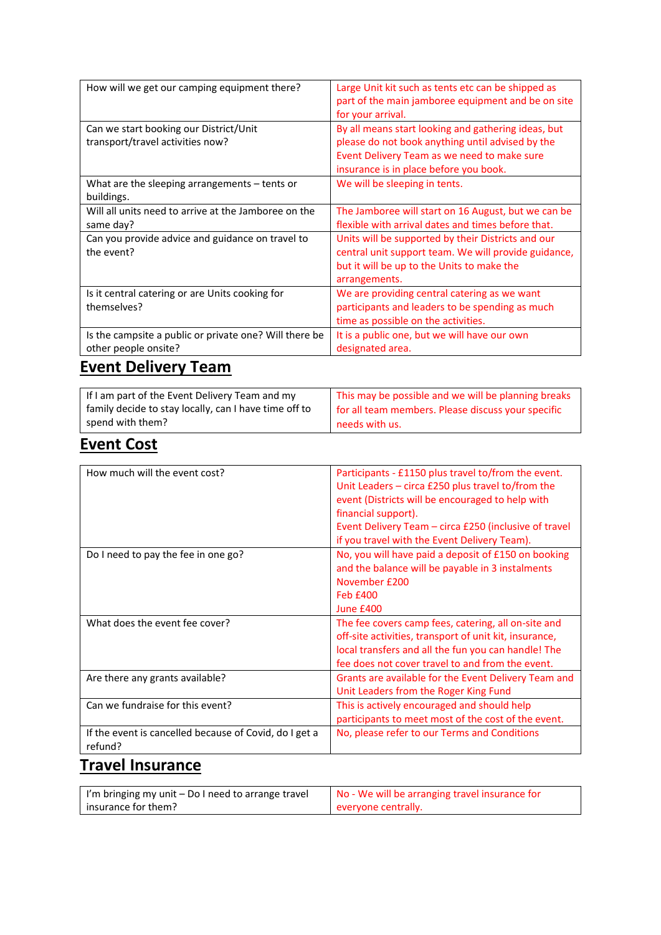| How will we get our camping equipment there?                                   | Large Unit kit such as tents etc can be shipped as<br>part of the main jamboree equipment and be on site<br>for your arrival.                                                                    |
|--------------------------------------------------------------------------------|--------------------------------------------------------------------------------------------------------------------------------------------------------------------------------------------------|
| Can we start booking our District/Unit<br>transport/travel activities now?     | By all means start looking and gathering ideas, but<br>please do not book anything until advised by the<br>Event Delivery Team as we need to make sure<br>insurance is in place before you book. |
| What are the sleeping arrangements – tents or<br>buildings.                    | We will be sleeping in tents.                                                                                                                                                                    |
| Will all units need to arrive at the Jamboree on the<br>same day?              | The Jamboree will start on 16 August, but we can be<br>flexible with arrival dates and times before that.                                                                                        |
| Can you provide advice and guidance on travel to<br>the event?                 | Units will be supported by their Districts and our<br>central unit support team. We will provide guidance,<br>but it will be up to the Units to make the<br>arrangements.                        |
| Is it central catering or are Units cooking for<br>themselves?                 | We are providing central catering as we want<br>participants and leaders to be spending as much<br>time as possible on the activities.                                                           |
| Is the campsite a public or private one? Will there be<br>other people onsite? | It is a public one, but we will have our own<br>designated area.                                                                                                                                 |

# **Event Delivery Team**

| If I am part of the Event Delivery Team and my        | This may be possible and we will be planning breaks |
|-------------------------------------------------------|-----------------------------------------------------|
| family decide to stay locally, can I have time off to | for all team members. Please discuss your specific  |
| spend with them?                                      | needs with us.                                      |

#### **Event Cost**

| How much will the event cost?                                     | Participants - £1150 plus travel to/from the event.<br>Unit Leaders - circa £250 plus travel to/from the<br>event (Districts will be encouraged to help with<br>financial support).<br>Event Delivery Team - circa £250 (inclusive of travel<br>if you travel with the Event Delivery Team). |
|-------------------------------------------------------------------|----------------------------------------------------------------------------------------------------------------------------------------------------------------------------------------------------------------------------------------------------------------------------------------------|
| Do I need to pay the fee in one go?                               | No, you will have paid a deposit of £150 on booking<br>and the balance will be payable in 3 instalments<br>November £200<br><b>Feb £400</b><br>June £400                                                                                                                                     |
| What does the event fee cover?                                    | The fee covers camp fees, catering, all on-site and<br>off-site activities, transport of unit kit, insurance,<br>local transfers and all the fun you can handle! The<br>fee does not cover travel to and from the event.                                                                     |
| Are there any grants available?                                   | Grants are available for the Event Delivery Team and<br>Unit Leaders from the Roger King Fund                                                                                                                                                                                                |
| Can we fundraise for this event?                                  | This is actively encouraged and should help<br>participants to meet most of the cost of the event.                                                                                                                                                                                           |
| If the event is cancelled because of Covid, do I get a<br>refund? | No, please refer to our Terms and Conditions                                                                                                                                                                                                                                                 |

## **Travel Insurance**

| I'm bringing my unit - Do I need to arrange travel | No - We will be arranging travel insurance for |
|----------------------------------------------------|------------------------------------------------|
| insurance for them?                                | everyone centrally.                            |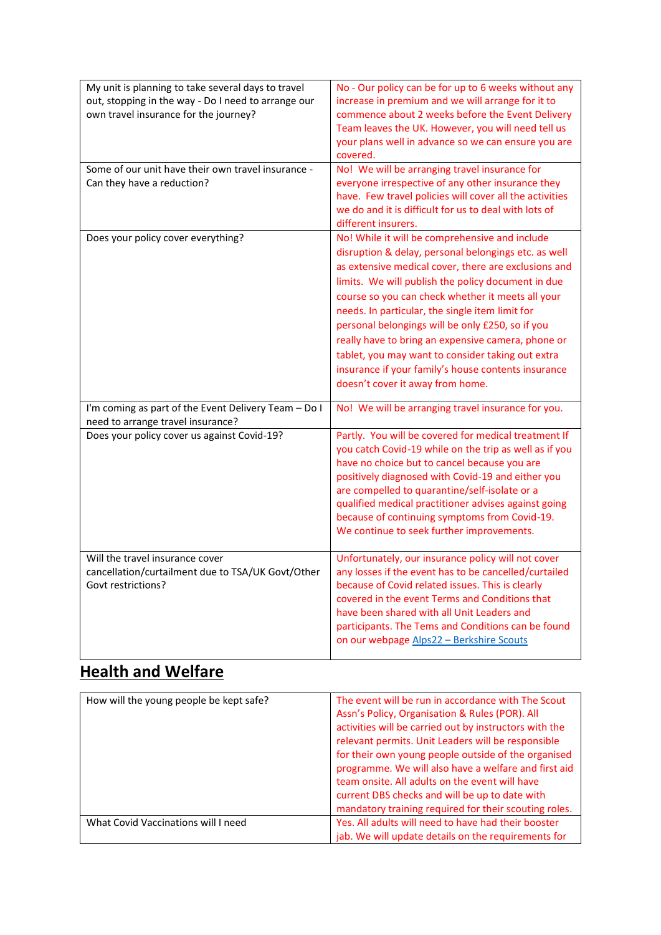| My unit is planning to take several days to travel<br>out, stopping in the way - Do I need to arrange our<br>own travel insurance for the journey? | No - Our policy can be for up to 6 weeks without any<br>increase in premium and we will arrange for it to<br>commence about 2 weeks before the Event Delivery<br>Team leaves the UK. However, you will need tell us<br>your plans well in advance so we can ensure you are<br>covered.                                                                                                                                                                                                                                                                                                 |
|----------------------------------------------------------------------------------------------------------------------------------------------------|----------------------------------------------------------------------------------------------------------------------------------------------------------------------------------------------------------------------------------------------------------------------------------------------------------------------------------------------------------------------------------------------------------------------------------------------------------------------------------------------------------------------------------------------------------------------------------------|
| Some of our unit have their own travel insurance -<br>Can they have a reduction?                                                                   | No! We will be arranging travel insurance for<br>everyone irrespective of any other insurance they<br>have. Few travel policies will cover all the activities<br>we do and it is difficult for us to deal with lots of<br>different insurers.                                                                                                                                                                                                                                                                                                                                          |
| Does your policy cover everything?                                                                                                                 | No! While it will be comprehensive and include<br>disruption & delay, personal belongings etc. as well<br>as extensive medical cover, there are exclusions and<br>limits. We will publish the policy document in due<br>course so you can check whether it meets all your<br>needs. In particular, the single item limit for<br>personal belongings will be only £250, so if you<br>really have to bring an expensive camera, phone or<br>tablet, you may want to consider taking out extra<br>insurance if your family's house contents insurance<br>doesn't cover it away from home. |
| I'm coming as part of the Event Delivery Team - Do I<br>need to arrange travel insurance?                                                          | No! We will be arranging travel insurance for you.                                                                                                                                                                                                                                                                                                                                                                                                                                                                                                                                     |
| Does your policy cover us against Covid-19?                                                                                                        | Partly. You will be covered for medical treatment If<br>you catch Covid-19 while on the trip as well as if you<br>have no choice but to cancel because you are<br>positively diagnosed with Covid-19 and either you<br>are compelled to quarantine/self-isolate or a<br>qualified medical practitioner advises against going<br>because of continuing symptoms from Covid-19.<br>We continue to seek further improvements.                                                                                                                                                             |
| Will the travel insurance cover<br>cancellation/curtailment due to TSA/UK Govt/Other<br>Govt restrictions?                                         | Unfortunately, our insurance policy will not cover<br>any losses if the event has to be cancelled/curtailed<br>because of Covid related issues. This is clearly<br>covered in the event Terms and Conditions that<br>have been shared with all Unit Leaders and<br>participants. The Tems and Conditions can be found<br>on our webpage Alps22 - Berkshire Scouts                                                                                                                                                                                                                      |

# **Health and Welfare**

| How will the young people be kept safe? | The event will be run in accordance with The Scout<br>Assn's Policy, Organisation & Rules (POR). All<br>activities will be carried out by instructors with the<br>relevant permits. Unit Leaders will be responsible<br>for their own young people outside of the organised<br>programme. We will also have a welfare and first aid<br>team onsite. All adults on the event will have<br>current DBS checks and will be up to date with<br>mandatory training required for their scouting roles. |
|-----------------------------------------|--------------------------------------------------------------------------------------------------------------------------------------------------------------------------------------------------------------------------------------------------------------------------------------------------------------------------------------------------------------------------------------------------------------------------------------------------------------------------------------------------|
| What Covid Vaccinations will I need     | Yes. All adults will need to have had their booster<br>jab. We will update details on the requirements for                                                                                                                                                                                                                                                                                                                                                                                       |